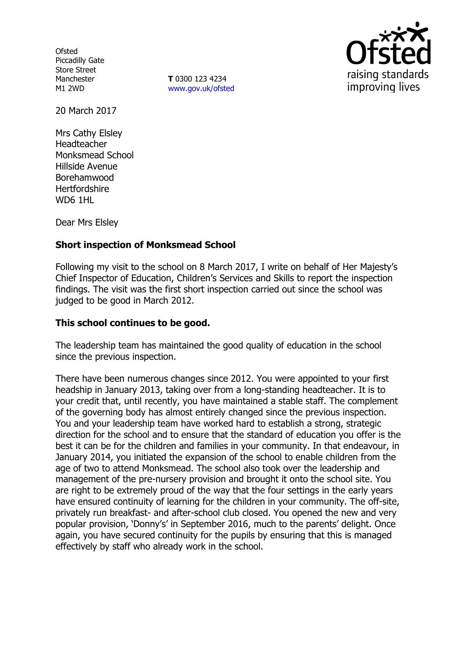**Ofsted** Piccadilly Gate Store Street Manchester M1 2WD

**T** 0300 123 4234 www.gov.uk/ofsted



20 March 2017

Mrs Cathy Elsley Headteacher Monksmead School Hillside Avenue Borehamwood Hertfordshire WD6 1HL

Dear Mrs Elsley

# **Short inspection of Monksmead School**

Following my visit to the school on 8 March 2017, I write on behalf of Her Majesty's Chief Inspector of Education, Children's Services and Skills to report the inspection findings. The visit was the first short inspection carried out since the school was judged to be good in March 2012.

### **This school continues to be good.**

The leadership team has maintained the good quality of education in the school since the previous inspection.

There have been numerous changes since 2012. You were appointed to your first headship in January 2013, taking over from a long-standing headteacher. It is to your credit that, until recently, you have maintained a stable staff. The complement of the governing body has almost entirely changed since the previous inspection. You and your leadership team have worked hard to establish a strong, strategic direction for the school and to ensure that the standard of education you offer is the best it can be for the children and families in your community. In that endeavour, in January 2014, you initiated the expansion of the school to enable children from the age of two to attend Monksmead. The school also took over the leadership and management of the pre-nursery provision and brought it onto the school site. You are right to be extremely proud of the way that the four settings in the early years have ensured continuity of learning for the children in your community. The off-site, privately run breakfast- and after-school club closed. You opened the new and very popular provision, 'Donny's' in September 2016, much to the parents' delight. Once again, you have secured continuity for the pupils by ensuring that this is managed effectively by staff who already work in the school.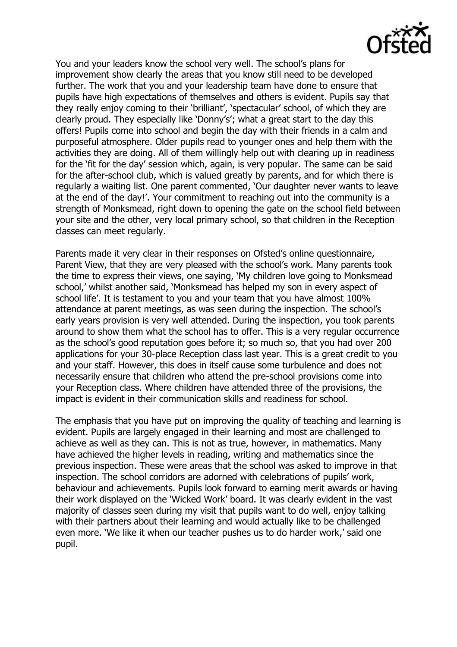

You and your leaders know the school very well. The school's plans for improvement show clearly the areas that you know still need to be developed further. The work that you and your leadership team have done to ensure that pupils have high expectations of themselves and others is evident. Pupils say that they really enjoy coming to their 'brilliant', 'spectacular' school, of which they are clearly proud. They especially like 'Donny's'; what a great start to the day this offers! Pupils come into school and begin the day with their friends in a calm and purposeful atmosphere. Older pupils read to younger ones and help them with the activities they are doing. All of them willingly help out with clearing up in readiness for the 'fit for the day' session which, again, is very popular. The same can be said for the after-school club, which is valued greatly by parents, and for which there is regularly a waiting list. One parent commented, 'Our daughter never wants to leave at the end of the day!'. Your commitment to reaching out into the community is a strength of Monksmead, right down to opening the gate on the school field between your site and the other, very local primary school, so that children in the Reception classes can meet regularly.

Parents made it very clear in their responses on Ofsted's online questionnaire, Parent View, that they are very pleased with the school's work. Many parents took the time to express their views, one saying, 'My children love going to Monksmead school,' whilst another said, 'Monksmead has helped my son in every aspect of school life'. It is testament to you and your team that you have almost 100% attendance at parent meetings, as was seen during the inspection. The school's early years provision is very well attended. During the inspection, you took parents around to show them what the school has to offer. This is a very regular occurrence as the school's good reputation goes before it; so much so, that you had over 200 applications for your 30-place Reception class last year. This is a great credit to you and your staff. However, this does in itself cause some turbulence and does not necessarily ensure that children who attend the pre-school provisions come into your Reception class. Where children have attended three of the provisions, the impact is evident in their communication skills and readiness for school.

The emphasis that you have put on improving the quality of teaching and learning is evident. Pupils are largely engaged in their learning and most are challenged to achieve as well as they can. This is not as true, however, in mathematics. Many have achieved the higher levels in reading, writing and mathematics since the previous inspection. These were areas that the school was asked to improve in that inspection. The school corridors are adorned with celebrations of pupils' work, behaviour and achievements. Pupils look forward to earning merit awards or having their work displayed on the 'Wicked Work' board. It was clearly evident in the vast majority of classes seen during my visit that pupils want to do well, enjoy talking with their partners about their learning and would actually like to be challenged even more. 'We like it when our teacher pushes us to do harder work,' said one pupil.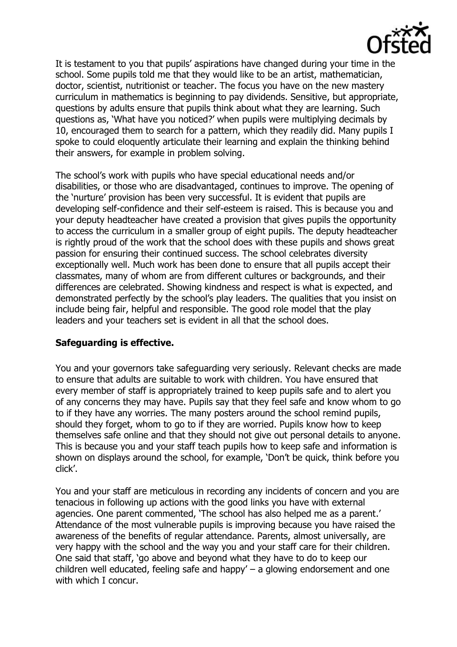

It is testament to you that pupils' aspirations have changed during your time in the school. Some pupils told me that they would like to be an artist, mathematician, doctor, scientist, nutritionist or teacher. The focus you have on the new mastery curriculum in mathematics is beginning to pay dividends. Sensitive, but appropriate, questions by adults ensure that pupils think about what they are learning. Such questions as, 'What have you noticed?' when pupils were multiplying decimals by 10, encouraged them to search for a pattern, which they readily did. Many pupils I spoke to could eloquently articulate their learning and explain the thinking behind their answers, for example in problem solving.

The school's work with pupils who have special educational needs and/or disabilities, or those who are disadvantaged, continues to improve. The opening of the 'nurture' provision has been very successful. It is evident that pupils are developing self-confidence and their self-esteem is raised. This is because you and your deputy headteacher have created a provision that gives pupils the opportunity to access the curriculum in a smaller group of eight pupils. The deputy headteacher is rightly proud of the work that the school does with these pupils and shows great passion for ensuring their continued success. The school celebrates diversity exceptionally well. Much work has been done to ensure that all pupils accept their classmates, many of whom are from different cultures or backgrounds, and their differences are celebrated. Showing kindness and respect is what is expected, and demonstrated perfectly by the school's play leaders. The qualities that you insist on include being fair, helpful and responsible. The good role model that the play leaders and your teachers set is evident in all that the school does.

### **Safeguarding is effective.**

You and your governors take safeguarding very seriously. Relevant checks are made to ensure that adults are suitable to work with children. You have ensured that every member of staff is appropriately trained to keep pupils safe and to alert you of any concerns they may have. Pupils say that they feel safe and know whom to go to if they have any worries. The many posters around the school remind pupils, should they forget, whom to go to if they are worried. Pupils know how to keep themselves safe online and that they should not give out personal details to anyone. This is because you and your staff teach pupils how to keep safe and information is shown on displays around the school, for example, 'Don't be quick, think before you click'.

You and your staff are meticulous in recording any incidents of concern and you are tenacious in following up actions with the good links you have with external agencies. One parent commented, 'The school has also helped me as a parent.' Attendance of the most vulnerable pupils is improving because you have raised the awareness of the benefits of regular attendance. Parents, almost universally, are very happy with the school and the way you and your staff care for their children. One said that staff, 'go above and beyond what they have to do to keep our children well educated, feeling safe and happy' – a glowing endorsement and one with which I concur.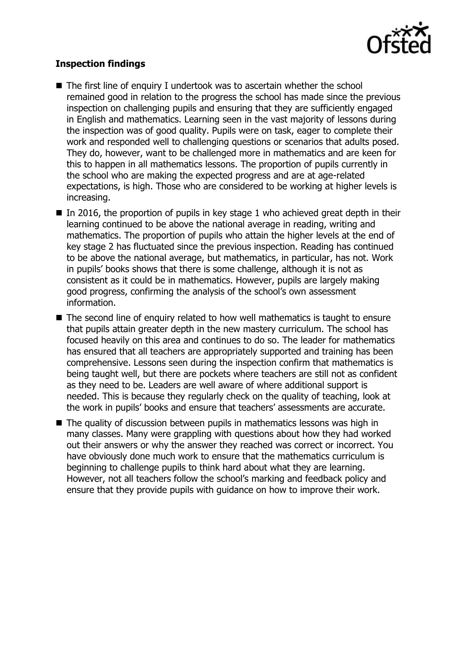

## **Inspection findings**

- $\blacksquare$  The first line of enquiry I undertook was to ascertain whether the school remained good in relation to the progress the school has made since the previous inspection on challenging pupils and ensuring that they are sufficiently engaged in English and mathematics. Learning seen in the vast majority of lessons during the inspection was of good quality. Pupils were on task, eager to complete their work and responded well to challenging questions or scenarios that adults posed. They do, however, want to be challenged more in mathematics and are keen for this to happen in all mathematics lessons. The proportion of pupils currently in the school who are making the expected progress and are at age-related expectations, is high. Those who are considered to be working at higher levels is increasing.
- In 2016, the proportion of pupils in key stage 1 who achieved great depth in their learning continued to be above the national average in reading, writing and mathematics. The proportion of pupils who attain the higher levels at the end of key stage 2 has fluctuated since the previous inspection. Reading has continued to be above the national average, but mathematics, in particular, has not. Work in pupils' books shows that there is some challenge, although it is not as consistent as it could be in mathematics. However, pupils are largely making good progress, confirming the analysis of the school's own assessment information.
- The second line of enquiry related to how well mathematics is taught to ensure that pupils attain greater depth in the new mastery curriculum. The school has focused heavily on this area and continues to do so. The leader for mathematics has ensured that all teachers are appropriately supported and training has been comprehensive. Lessons seen during the inspection confirm that mathematics is being taught well, but there are pockets where teachers are still not as confident as they need to be. Leaders are well aware of where additional support is needed. This is because they regularly check on the quality of teaching, look at the work in pupils' books and ensure that teachers' assessments are accurate.
- The quality of discussion between pupils in mathematics lessons was high in many classes. Many were grappling with questions about how they had worked out their answers or why the answer they reached was correct or incorrect. You have obviously done much work to ensure that the mathematics curriculum is beginning to challenge pupils to think hard about what they are learning. However, not all teachers follow the school's marking and feedback policy and ensure that they provide pupils with guidance on how to improve their work.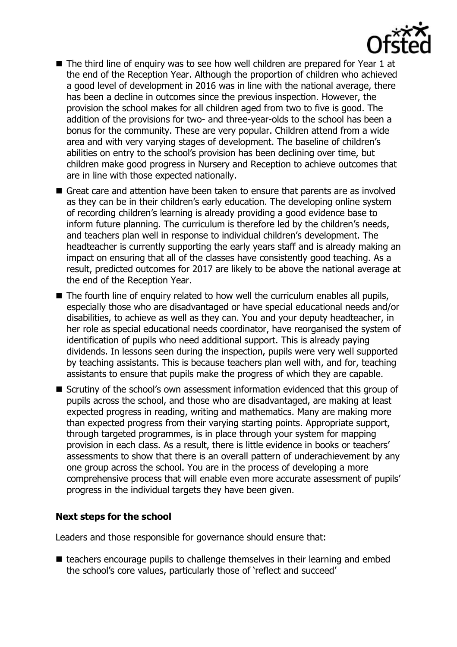

- The third line of enquiry was to see how well children are prepared for Year 1 at the end of the Reception Year. Although the proportion of children who achieved a good level of development in 2016 was in line with the national average, there has been a decline in outcomes since the previous inspection. However, the provision the school makes for all children aged from two to five is good. The addition of the provisions for two- and three-year-olds to the school has been a bonus for the community. These are very popular. Children attend from a wide area and with very varying stages of development. The baseline of children's abilities on entry to the school's provision has been declining over time, but children make good progress in Nursery and Reception to achieve outcomes that are in line with those expected nationally.
- Great care and attention have been taken to ensure that parents are as involved as they can be in their children's early education. The developing online system of recording children's learning is already providing a good evidence base to inform future planning. The curriculum is therefore led by the children's needs, and teachers plan well in response to individual children's development. The headteacher is currently supporting the early years staff and is already making an impact on ensuring that all of the classes have consistently good teaching. As a result, predicted outcomes for 2017 are likely to be above the national average at the end of the Reception Year.
- The fourth line of enquiry related to how well the curriculum enables all pupils, especially those who are disadvantaged or have special educational needs and/or disabilities, to achieve as well as they can. You and your deputy headteacher, in her role as special educational needs coordinator, have reorganised the system of identification of pupils who need additional support. This is already paying dividends. In lessons seen during the inspection, pupils were very well supported by teaching assistants. This is because teachers plan well with, and for, teaching assistants to ensure that pupils make the progress of which they are capable.
- Scrutiny of the school's own assessment information evidenced that this group of pupils across the school, and those who are disadvantaged, are making at least expected progress in reading, writing and mathematics. Many are making more than expected progress from their varying starting points. Appropriate support, through targeted programmes, is in place through your system for mapping provision in each class. As a result, there is little evidence in books or teachers' assessments to show that there is an overall pattern of underachievement by any one group across the school. You are in the process of developing a more comprehensive process that will enable even more accurate assessment of pupils' progress in the individual targets they have been given.

### **Next steps for the school**

Leaders and those responsible for governance should ensure that:

■ teachers encourage pupils to challenge themselves in their learning and embed the school's core values, particularly those of 'reflect and succeed'